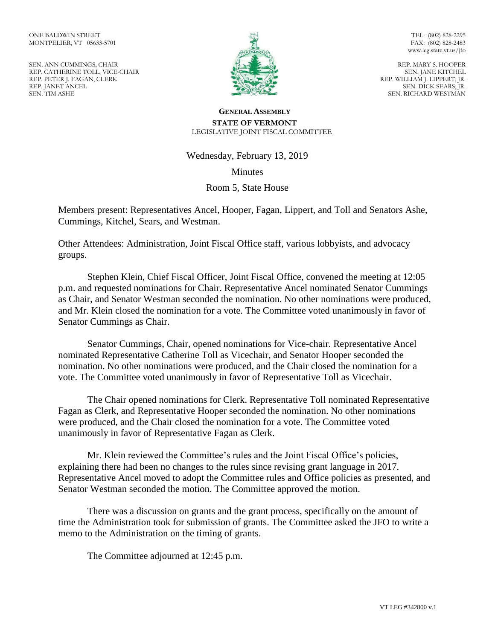SEN. ANN CUMMINGS, CHAIR REP. CATHERINE TOLL, VICE-CHAIR REP. PETER J. FAGAN, CLERK REP. JANET ANCEL SEN. TIM ASHE



TEL: (802) 828-2295 FAX: (802) 828-2483 www.leg.state.vt.us/jfo

REP. MARY S. HOOPER SEN. JANE KITCHEL REP. WILLIAM J. LIPPERT, JR. SEN. DICK SEARS, JR. SEN. RICHARD WESTMAN

## **GENERAL ASSEMBLY STATE OF VERMONT** LEGISLATIVE JOINT FISCAL COMMITTEE

Wednesday, February 13, 2019

**Minutes** 

Room 5, State House

Members present: Representatives Ancel, Hooper, Fagan, Lippert, and Toll and Senators Ashe, Cummings, Kitchel, Sears, and Westman.

Other Attendees: Administration, Joint Fiscal Office staff, various lobbyists, and advocacy groups.

Stephen Klein, Chief Fiscal Officer, Joint Fiscal Office, convened the meeting at 12:05 p.m. and requested nominations for Chair. Representative Ancel nominated Senator Cummings as Chair, and Senator Westman seconded the nomination. No other nominations were produced, and Mr. Klein closed the nomination for a vote. The Committee voted unanimously in favor of Senator Cummings as Chair.

Senator Cummings, Chair, opened nominations for Vice-chair. Representative Ancel nominated Representative Catherine Toll as Vicechair, and Senator Hooper seconded the nomination. No other nominations were produced, and the Chair closed the nomination for a vote. The Committee voted unanimously in favor of Representative Toll as Vicechair.

The Chair opened nominations for Clerk. Representative Toll nominated Representative Fagan as Clerk, and Representative Hooper seconded the nomination. No other nominations were produced, and the Chair closed the nomination for a vote. The Committee voted unanimously in favor of Representative Fagan as Clerk.

Mr. Klein reviewed the Committee's rules and the Joint Fiscal Office's policies, explaining there had been no changes to the rules since revising grant language in 2017. Representative Ancel moved to adopt the Committee rules and Office policies as presented, and Senator Westman seconded the motion. The Committee approved the motion.

There was a discussion on grants and the grant process, specifically on the amount of time the Administration took for submission of grants. The Committee asked the JFO to write a memo to the Administration on the timing of grants.

The Committee adjourned at 12:45 p.m.